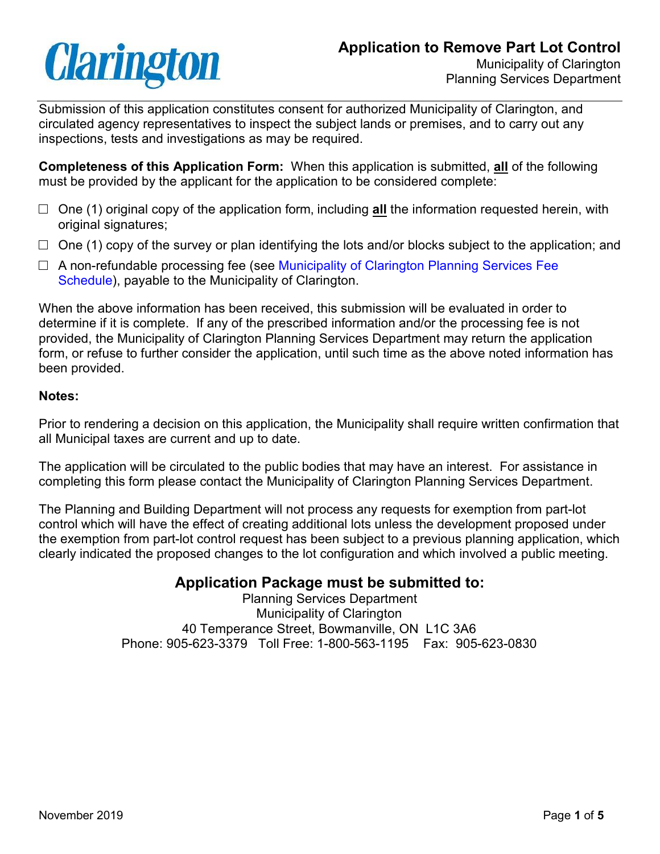# **Clarington**

Submission of this application constitutes consent for authorized Municipality of Clarington, and circulated agency representatives to inspect the subject lands or premises, and to carry out any inspections, tests and investigations as may be required.

**Completeness of this Application Form:** When this application is submitted, **all** of the following must be provided by the applicant for the application to be considered complete:

- □ One (1) original copy of the application form, including **all** the information requested herein, with original signatures;
- $\Box$  One (1) copy of the survey or plan identifying the lots and/or blocks subject to the application; and
- $\Box$  A non-refundable processing fee (see [Municipality of Clarington Planning Services](https://www.clarington.net/en/do-business/resources/planning-services-fee-schedule.pdf) Fee [Schedule\)](https://www.clarington.net/en/do-business/resources/planning-services-fee-schedule.pdf), payable to the Municipality of Clarington.

When the above information has been received, this submission will be evaluated in order to determine if it is complete. If any of the prescribed information and/or the processing fee is not provided, the Municipality of Clarington Planning Services Department may return the application form, or refuse to further consider the application, until such time as the above noted information has been provided.

## **Notes:**

Prior to rendering a decision on this application, the Municipality shall require written confirmation that all Municipal taxes are current and up to date.

The application will be circulated to the public bodies that may have an interest. For assistance in completing this form please contact the Municipality of Clarington Planning Services Department.

The Planning and Building Department will not process any requests for exemption from part-lot control which will have the effect of creating additional lots unless the development proposed under the exemption from part-lot control request has been subject to a previous planning application, which clearly indicated the proposed changes to the lot configuration and which involved a public meeting.

## **Application Package must be submitted to:**

Planning Services Department Municipality of Clarington 40 Temperance Street, Bowmanville, ON L1C 3A6 Phone: 905-623-3379 Toll Free: 1-800-563-1195 Fax: 905-623-0830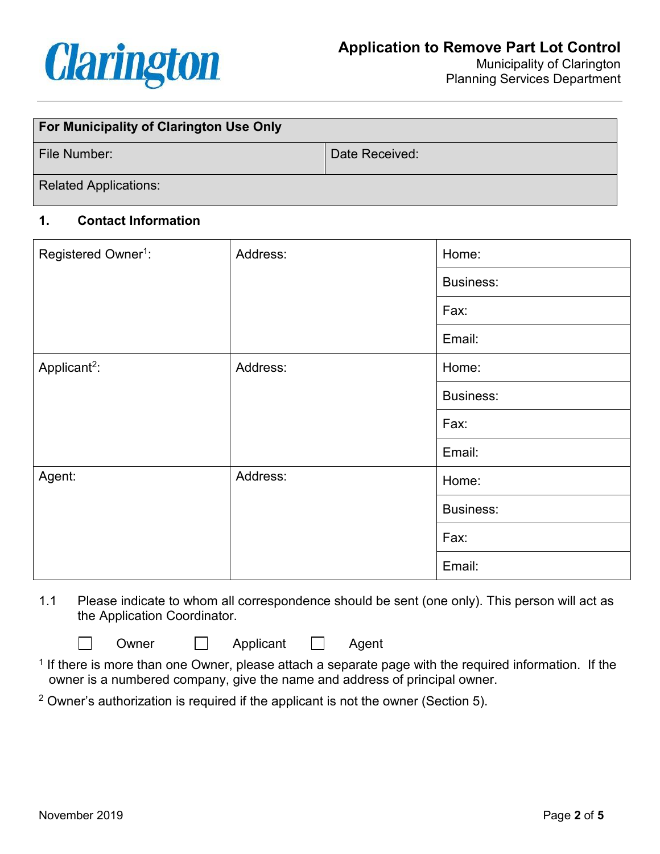

Planning Services Department

| For Municipality of Clarington Use Only |                |  |
|-----------------------------------------|----------------|--|
| File Number:                            | Date Received: |  |
| <b>Related Applications:</b>            |                |  |

## **1. Contact Information**

| Registered Owner <sup>1</sup> : | Address: | Home:            |
|---------------------------------|----------|------------------|
|                                 |          | <b>Business:</b> |
|                                 |          | Fax:             |
|                                 |          | Email:           |
| Applicant <sup>2</sup> :        | Address: | Home:            |
|                                 |          | <b>Business:</b> |
|                                 |          | Fax:             |
|                                 |          | Email:           |
| Agent:                          | Address: | Home:            |
|                                 |          | <b>Business:</b> |
|                                 |          | Fax:             |
|                                 |          | Email:           |

1.1 Please indicate to whom all correspondence should be sent (one only). This person will act as the Application Coordinator.

Owner **D** Applicant **D** Agent

 $1$  If there is more than one Owner, please attach a separate page with the required information. If the owner is a numbered company, give the name and address of principal owner.

 $2$  Owner's authorization is required if the applicant is not the owner (Section 5).

 $\Box$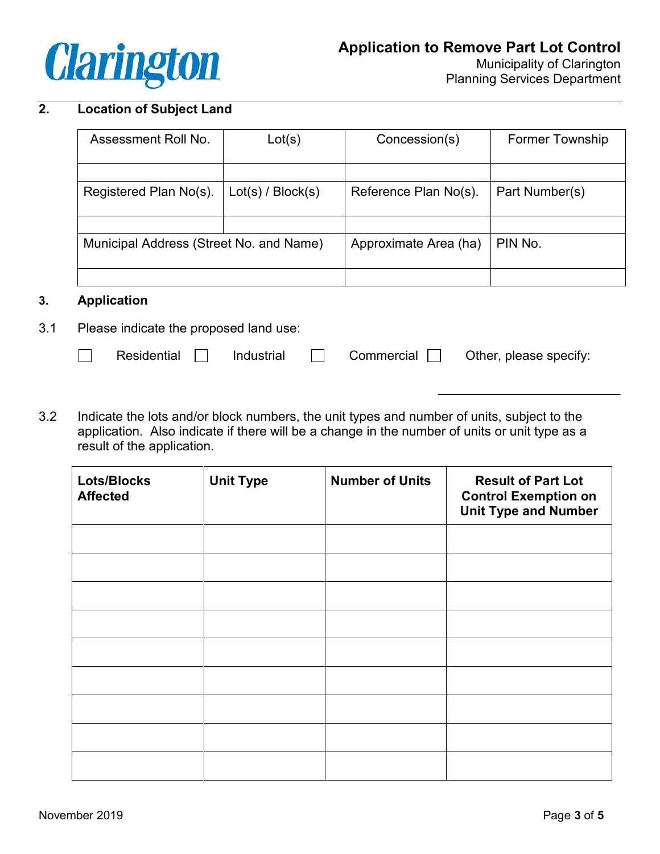

## **2. Location of Subject Land**

| Assessment Roll No.                     | Lot(s)            | Concession(s)         | <b>Former Township</b> |
|-----------------------------------------|-------------------|-----------------------|------------------------|
|                                         |                   |                       |                        |
| Registered Plan No(s).                  | Lot(s) / Block(s) | Reference Plan No(s). | Part Number(s)         |
|                                         |                   |                       |                        |
| Municipal Address (Street No. and Name) |                   | Approximate Area (ha) | PIN No.                |
|                                         |                   |                       |                        |

#### **3. Application**

- 3.1 Please indicate the proposed land use:
	- $\Box$
- 

Residential  $\Box$  Industrial  $\Box$  Commercial  $\Box$  Other, please specify:

\_\_\_\_\_\_\_\_\_\_\_\_\_\_\_\_\_\_\_

3.2 Indicate the lots and/or block numbers, the unit types and number of units, subject to the application. Also indicate if there will be a change in the number of units or unit type as a result of the application.

| <b>Lots/Blocks</b><br><b>Affected</b> | <b>Unit Type</b> | <b>Number of Units</b> | <b>Result of Part Lot</b><br><b>Control Exemption on</b><br><b>Unit Type and Number</b> |
|---------------------------------------|------------------|------------------------|-----------------------------------------------------------------------------------------|
|                                       |                  |                        |                                                                                         |
|                                       |                  |                        |                                                                                         |
|                                       |                  |                        |                                                                                         |
|                                       |                  |                        |                                                                                         |
|                                       |                  |                        |                                                                                         |
|                                       |                  |                        |                                                                                         |
|                                       |                  |                        |                                                                                         |
|                                       |                  |                        |                                                                                         |
|                                       |                  |                        |                                                                                         |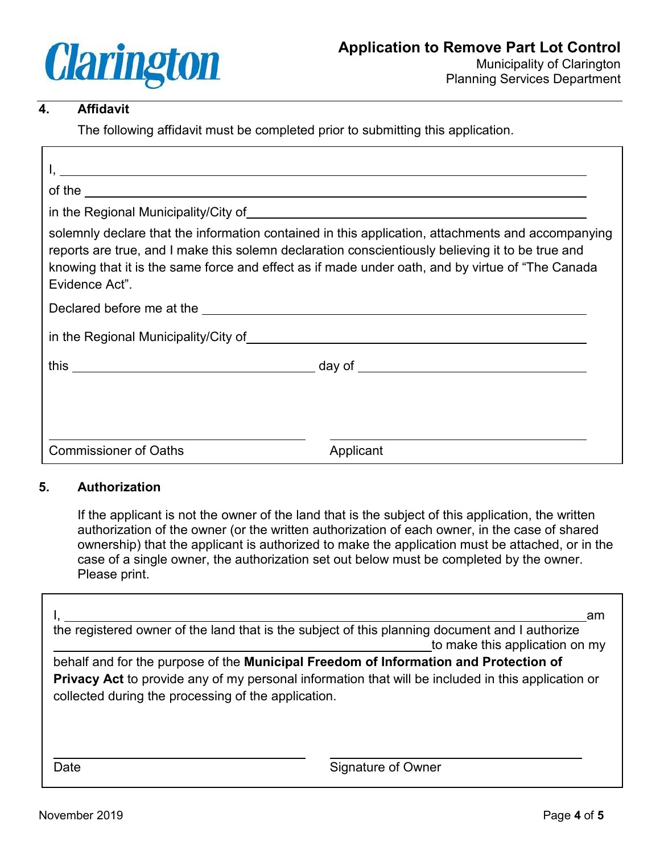

## **4. Affidavit**

The following affidavit must be completed prior to submitting this application.

| of the $\overline{\phantom{a}}$                                                                                |                                                                                                                                                                                                                                                                                                            |
|----------------------------------------------------------------------------------------------------------------|------------------------------------------------------------------------------------------------------------------------------------------------------------------------------------------------------------------------------------------------------------------------------------------------------------|
| in the Regional Municipality/City of entries and the entries and the entries and the entries are the entries o |                                                                                                                                                                                                                                                                                                            |
| Evidence Act".                                                                                                 | solemnly declare that the information contained in this application, attachments and accompanying<br>reports are true, and I make this solemn declaration conscientiously believing it to be true and<br>knowing that it is the same force and effect as if made under oath, and by virtue of "The Canada" |
|                                                                                                                |                                                                                                                                                                                                                                                                                                            |
|                                                                                                                |                                                                                                                                                                                                                                                                                                            |
|                                                                                                                |                                                                                                                                                                                                                                                                                                            |
|                                                                                                                |                                                                                                                                                                                                                                                                                                            |
| <b>Commissioner of Oaths</b>                                                                                   | Applicant                                                                                                                                                                                                                                                                                                  |

### **5. Authorization**

If the applicant is not the owner of the land that is the subject of this application, the written authorization of the owner (or the written authorization of each owner, in the case of shared ownership) that the applicant is authorized to make the application must be attached, or in the case of a single owner, the authorization set out below must be completed by the owner. Please print.

| the registered owner of the land that is the subject of this planning document and I authorize                                                                                                                                                    | am<br>to make this application on my |
|---------------------------------------------------------------------------------------------------------------------------------------------------------------------------------------------------------------------------------------------------|--------------------------------------|
| behalf and for the purpose of the Municipal Freedom of Information and Protection of<br>Privacy Act to provide any of my personal information that will be included in this application or<br>collected during the processing of the application. |                                      |
| Date                                                                                                                                                                                                                                              | Signature of Owner                   |